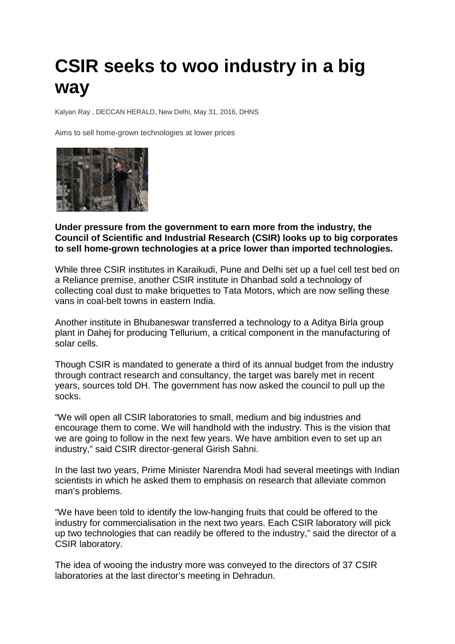## **CSIR seeks to woo industry in a big way**

Kalyan Ray , DECCAN HERALD, New Delhi, May 31, 2016, DHNS

Aims to sell home-grown technologies at lower prices



**Under pressure from the government to earn more from the industry, the Council of Scientific and Industrial Research (CSIR) looks up to big corporates to sell home-grown technologies at a price lower than imported technologies.**

While three CSIR institutes in Karaikudi, Pune and Delhi set up a fuel cell test bed on a Reliance premise, another CSIR institute in Dhanbad sold a technology of collecting coal dust to make briquettes to Tata Motors, which are now selling these vans in coal-belt towns in eastern India.

Another institute in Bhubaneswar transferred a technology to a Aditya Birla group plant in Dahej for producing Tellurium, a critical component in the manufacturing of solar cells.

Though CSIR is mandated to generate a third of its annual budget from the industry through contract research and consultancy, the target was barely met in recent years, sources told DH. The government has now asked the council to pull up the socks.

"We will open all CSIR laboratories to small, medium and big industries and encourage them to come. We will handhold with the industry. This is the vision that we are going to follow in the next few years. We have ambition even to set up an industry," said CSIR director-general Girish Sahni.

In the last two years, Prime Minister Narendra Modi had several meetings with Indian scientists in which he asked them to emphasis on research that alleviate common man's problems.

"We have been told to identify the low-hanging fruits that could be offered to the industry for commercialisation in the next two years. Each CSIR laboratory will pick up two technologies that can readily be offered to the industry," said the director of a CSIR laboratory.

The idea of wooing the industry more was conveyed to the directors of 37 CSIR laboratories at the last director's meeting in Dehradun.